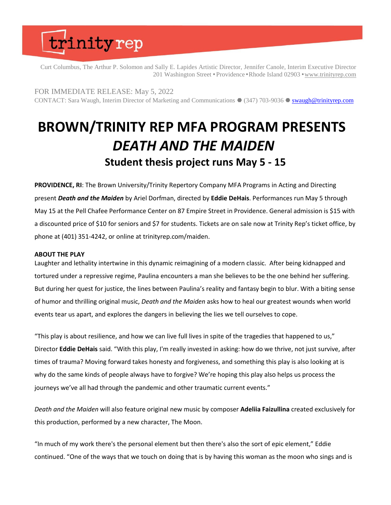# trinityrep

Curt Columbus, The Arthur P. Solomon and Sally E. Lapides Artistic Director, Jennifer Canole, Interim Executive Director 201 Washington Street • Providence • Rhode Island 02903 • [www.trinityrep.com](http://www.trinityrep.com/)

FOR IMMEDIATE RELEASE: May 5, 2022

CONTACT: Sara Waugh, Interim Director of Marketing and Communications ● (347) 703-9036 ● [swaugh@trinityrep.com](mailto:swaugh@trinityrep.com)

## **BROWN/TRINITY REP MFA PROGRAM PRESENTS** *DEATH AND THE MAIDEN* **Student thesis project runs May 5 - 15**

**PROVIDENCE, RI**: The Brown University/Trinity Repertory Company MFA Programs in Acting and Directing present *Death and the Maiden* by Ariel Dorfman, directed by **Eddie DeHais**. Performances run May 5 through May 15 at the Pell Chafee Performance Center on 87 Empire Street in Providence. General admission is \$15 with a discounted price of \$10 for seniors and \$7 for students. Tickets are on sale now at Trinity Rep's ticket office, by phone at (401) 351-4242, or online at trinityrep.com/maiden.

### **ABOUT THE PLAY**

Laughter and lethality intertwine in this dynamic reimagining of a modern classic. After being kidnapped and tortured under a repressive regime, Paulina encounters a man she believes to be the one behind her suffering. But during her quest for justice, the lines between Paulina's reality and fantasy begin to blur. With a biting sense of humor and thrilling original music, *Death and the Maiden* asks how to heal our greatest wounds when world events tear us apart, and explores the dangers in believing the lies we tell ourselves to cope.

"This play is about resilience, and how we can live full lives in spite of the tragedies that happened to us," Director **Eddie DeHais** said. "With this play, I'm really invested in asking: how do we thrive, not just survive, after times of trauma? Moving forward takes honesty and forgiveness, and something this play is also looking at is why do the same kinds of people always have to forgive? We're hoping this play also helps us process the journeys we've all had through the pandemic and other traumatic current events."

*Death and the Maiden* will also feature original new music by composer **Adeliia Faizullina** created exclusively for this production, performed by a new character, The Moon.

"In much of my work there's the personal element but then there's also the sort of epic element," Eddie continued. "One of the ways that we touch on doing that is by having this woman as the moon who sings and is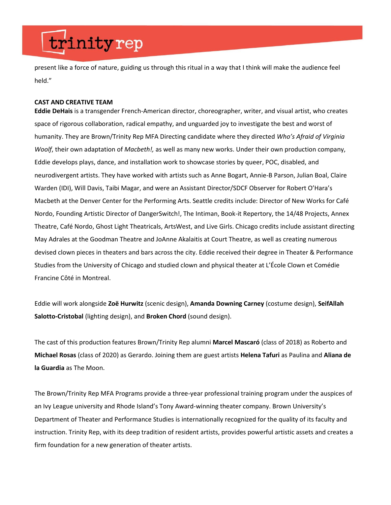# trinityrep

present like a force of nature, guiding us through this ritual in a way that I think will make the audience feel held."

### **CAST AND CREATIVE TEAM**

**Eddie DeHais** is a transgender French-American director, choreographer, writer, and visual artist, who creates space of rigorous collaboration, radical empathy, and unguarded joy to investigate the best and worst of humanity. They are Brown/Trinity Rep MFA Directing candidate where they directed *Who's Afraid of Virginia Woolf*, their own adaptation of *Macbeth!,* as well as many new works. Under their own production company, Eddie develops plays, dance, and installation work to showcase stories by queer, POC, disabled, and neurodivergent artists. They have worked with artists such as Anne Bogart, Annie-B Parson, Julian Boal, Claire Warden (IDI), Will Davis, Taibi Magar, and were an Assistant Director/SDCF Observer for Robert O'Hara's Macbeth at the Denver Center for the Performing Arts. Seattle credits include: Director of New Works for Café Nordo, Founding Artistic Director of DangerSwitch!, The Intiman, Book-it Repertory, the 14/48 Projects, Annex Theatre, Café Nordo, Ghost Light Theatricals, ArtsWest, and Live Girls. Chicago credits include assistant directing May Adrales at the Goodman Theatre and JoAnne Akalaitis at Court Theatre, as well as creating numerous devised clown pieces in theaters and bars across the city. Eddie received their degree in Theater & Performance Studies from the University of Chicago and studied clown and physical theater at L'École Clown et Comédie Francine Côté in Montreal.

Eddie will work alongside **Zoë Hurwitz** (scenic design),**Amanda Downing Carney** (costume design), **SeifAllah Salotto-Cristobal** (lighting design), and **Broken Chord**(sound design).  

The cast of this production features Brown/Trinity Rep alumni **Marcel Mascaró** (class of 2018) as Roberto and **Michael Rosas** (class of 2020) as Gerardo. Joining them are guest artists **Helena Tafuri** as Paulina and **Aliana de la Guardia** as The Moon.

The Brown/Trinity Rep MFA Programs provide a three-year professional training program under the auspices of an Ivy League university and Rhode Island's Tony Award-winning theater company. Brown University's Department of Theater and Performance Studies is internationally recognized for the quality of its faculty and instruction. Trinity Rep, with its deep tradition of resident artists, provides powerful artistic assets and creates a firm foundation for a new generation of theater artists.